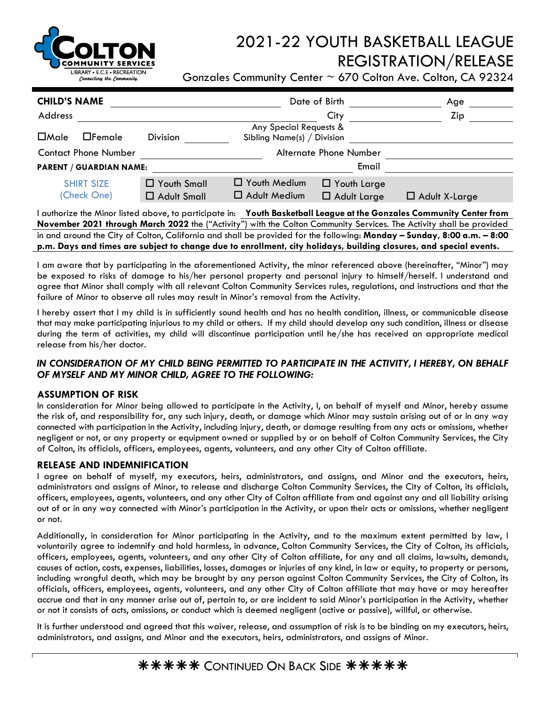

# 2021-22 YOUTH BASKETBALL LEAGUE REGISTRATION/RELEASE

Gonzales Community Center  $\sim$  670 Colton Ave. Colton, CA 92324

| <b>CHILD'S NAME</b>                                                                                                  |                    | Date of Birth                                          |                    | Age                  |  |  |  |
|----------------------------------------------------------------------------------------------------------------------|--------------------|--------------------------------------------------------|--------------------|----------------------|--|--|--|
| Address                                                                                                              |                    |                                                        | City               | Zip                  |  |  |  |
| $\Box$ Male<br>$\Box$ Female                                                                                         | <b>Division</b>    | Any Special Requests &<br>Sibling Name(s) $/$ Division |                    |                      |  |  |  |
| <b>Contact Phone Number</b>                                                                                          |                    | Alternate Phone Number                                 |                    |                      |  |  |  |
| <b>PARENT / GUARDIAN NAME:</b>                                                                                       |                    |                                                        | Email              |                      |  |  |  |
| <b>SHIRT SIZE</b>                                                                                                    | □ Youth Small      | $\Box$ Youth Medium                                    | T Youth Large      |                      |  |  |  |
| (Check One)                                                                                                          | $\Box$ Adult Small | $\Box$ Adult Medium                                    | $\Box$ Adult Large | $\Box$ Adult X-Large |  |  |  |
| I authorize the Minor listed above, to participate in: Youth Basketball League at the Gonzales Community Center from |                    |                                                        |                    |                      |  |  |  |

**November 2021 through March 2022** the ("Activity") with the Colton Community Services. The Activity shall be provided in and around the City of Colton, California and shall be provided for the following: **Monday – Sunday, 8:00 a.m. – 8:00 p.m. Days and times are subject to change due to enrollment, city holidays, building closures, and special events.**

I am aware that by participating in the aforementioned Activity, the minor referenced above (hereinafter, "Minor") may be exposed to risks of damage to his/her personal property and personal injury to himself/herself. I understand and agree that Minor shall comply with all relevant Colton Community Services rules, regulations, and instructions and that the failure of Minor to observe all rules may result in Minor's removal from the Activity.

I hereby assert that I my child is in sufficiently sound health and has no health condition, illness, or communicable disease that may make participating injurious to my child or others. If my child should develop any such condition, illness or disease during the term of activities, my child will discontinue participation until he/she has received an appropriate medical release from his/her doctor.

# *IN CONSIDERATION OF MY CHILD BEING PERMITTED TO PARTICIPATE IN THE ACTIVITY, I HEREBY, ON BEHALF OF MYSELF AND MY MINOR CHILD, AGREE TO THE FOLLOWING:*

## **ASSUMPTION OF RISK**

In consideration for Minor being allowed to participate in the Activity, I, on behalf of myself and Minor, hereby assume the risk of, and responsibility for, any such injury, death, or damage which Minor may sustain arising out of or in any way connected with participation in the Activity, including injury, death, or damage resulting from any acts or omissions, whether negligent or not, or any property or equipment owned or supplied by or on behalf of Colton Community Services, the City of Colton, its officials, officers, employees, agents, volunteers, and any other City of Colton affiliate.

# **RELEASE AND INDEMNIFICATION**

I agree on behalf of myself, my executors, heirs, administrators, and assigns, and Minor and the executors, heirs, administrators and assigns of Minor, to release and discharge Colton Community Services, the City of Colton, its officials, officers, employees, agents, volunteers, and any other City of Colton affiliate from and against any and all liability arising out of or in any way connected with Minor's participation in the Activity, or upon their acts or omissions, whether negligent or not.

Additionally, in consideration for Minor participating in the Activity, and to the maximum extent permitted by law, I voluntarily agree to indemnify and hold harmless, in advance, Colton Community Services, the City of Colton, its officials, officers, employees, agents, volunteers, and any other City of Colton affiliate, for any and all claims, lawsuits, demands, causes of action, costs, expenses, liabilities, losses, damages or injuries of any kind, in law or equity, to property or persons, including wrongful death, which may be brought by any person against Colton Community Services, the City of Colton, its officials, officers, employees, agents, volunteers, and any other City of Colton affiliate that may have or may hereafter accrue and that in any manner arise out of, pertain to, or are incident to said Minor's participation in the Activity, whether or not it consists of acts, omissions, or conduct which is deemed negligent (active or passive), willful, or otherwise.

It is further understood and agreed that this waiver, release, and assumption of risk is to be binding on my executors, heirs, administrators, and assigns, and Minor and the executors, heirs, administrators, and assigns of Minor.